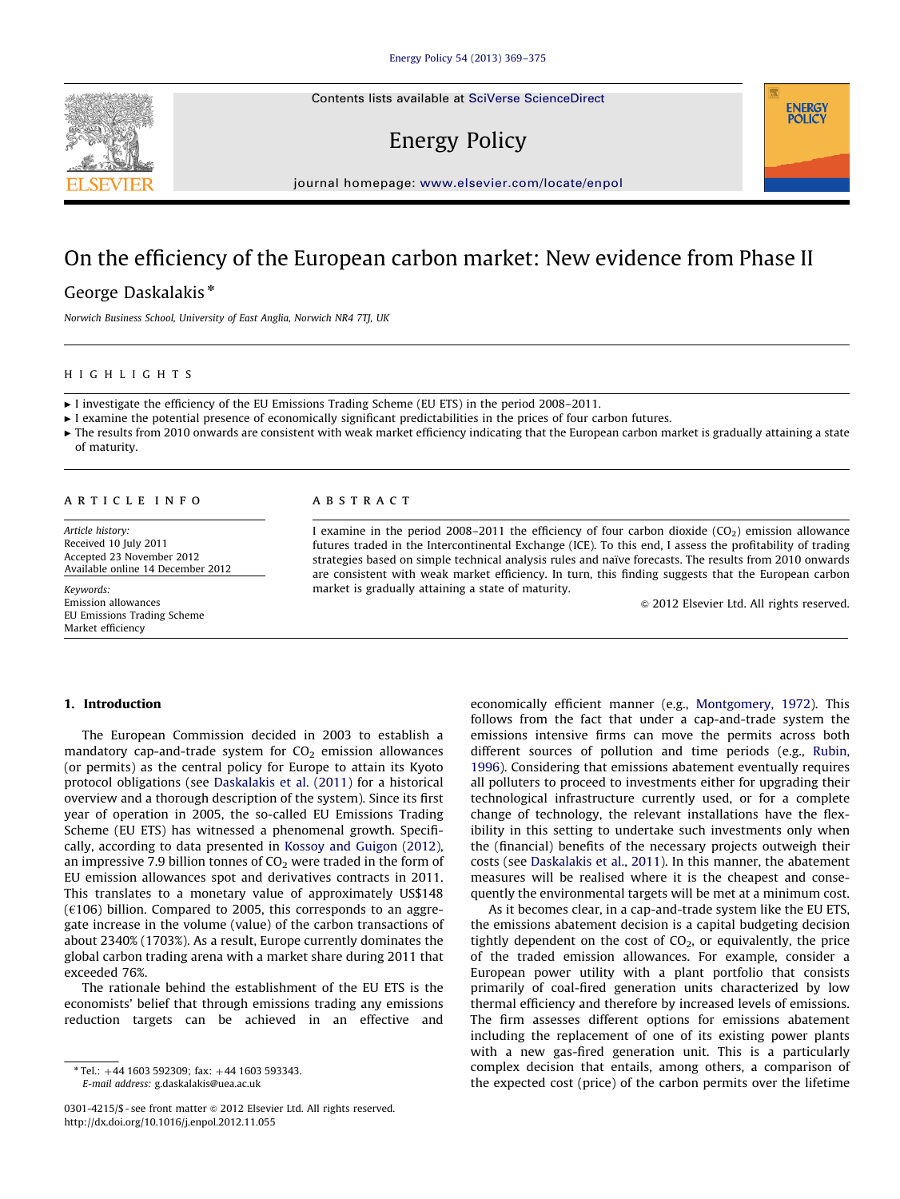Contents lists available at [SciVerse ScienceDirect](www.elsevier.com/locate/enpol)

# Energy Policy

journal homepage: <www.elsevier.com/locate/enpol>

# On the efficiency of the European carbon market: New evidence from Phase II

## George Daskalakis\*

Norwich Business School, University of East Anglia, Norwich NR4 7TJ, UK

#### HIGHLIGHTS

c I investigate the efficiency of the EU Emissions Trading Scheme (EU ETS) in the period 2008–2011.

 $\blacktriangleright$  I examine the potential presence of economically significant predictabilities in the prices of four carbon futures.

 $\triangleright$  The results from 2010 onwards are consistent with weak market efficiency indicating that the European carbon market is gradually attaining a state of maturity.

#### article info

Article history: Received 10 July 2011 Accepted 23 November 2012 Available online 14 December 2012

Keywords: Emission allowances EU Emissions Trading Scheme Market efficiency

### **ABSTRACT**

I examine in the period 2008–2011 the efficiency of four carbon dioxide  $(CO<sub>2</sub>)$  emission allowance futures traded in the Intercontinental Exchange (ICE). To this end, I assess the profitability of trading strategies based on simple technical analysis rules and naı̈ve forecasts. The results from 2010 onwards are consistent with weak market efficiency. In turn, this finding suggests that the European carbon market is gradually attaining a state of maturity.

 $\odot$  2012 Elsevier Ltd. All rights reserved.

**ENERGY POLICY** 

### 1. Introduction

The European Commission decided in 2003 to establish a mandatory cap-and-trade system for  $CO<sub>2</sub>$  emission allowances (or permits) as the central policy for Europe to attain its Kyoto protocol obligations (see [Daskalakis et al. \(2011\)](#page--1-0) for a historical overview and a thorough description of the system). Since its first year of operation in 2005, the so-called EU Emissions Trading Scheme (EU ETS) has witnessed a phenomenal growth. Specifically, according to data presented in [Kossoy and Guigon \(2012\),](#page--1-0) an impressive 7.9 billion tonnes of  $CO<sub>2</sub>$  were traded in the form of EU emission allowances spot and derivatives contracts in 2011. This translates to a monetary value of approximately US\$148  $(6106)$  billion. Compared to 2005, this corresponds to an aggregate increase in the volume (value) of the carbon transactions of about 2340% (1703%). As a result, Europe currently dominates the global carbon trading arena with a market share during 2011 that exceeded 76%.

The rationale behind the establishment of the EU ETS is the economists' belief that through emissions trading any emissions reduction targets can be achieved in an effective and economically efficient manner (e.g., [Montgomery, 1972\)](#page--1-0). This follows from the fact that under a cap-and-trade system the emissions intensive firms can move the permits across both different sources of pollution and time periods (e.g., [Rubin,](#page--1-0) [1996\)](#page--1-0). Considering that emissions abatement eventually requires all polluters to proceed to investments either for upgrading their technological infrastructure currently used, or for a complete change of technology, the relevant installations have the flexibility in this setting to undertake such investments only when the (financial) benefits of the necessary projects outweigh their costs (see [Daskalakis et al., 2011](#page--1-0)). In this manner, the abatement measures will be realised where it is the cheapest and consequently the environmental targets will be met at a minimum cost.

As it becomes clear, in a cap-and-trade system like the EU ETS, the emissions abatement decision is a capital budgeting decision tightly dependent on the cost of  $CO<sub>2</sub>$ , or equivalently, the price of the traded emission allowances. For example, consider a European power utility with a plant portfolio that consists primarily of coal-fired generation units characterized by low thermal efficiency and therefore by increased levels of emissions. The firm assesses different options for emissions abatement including the replacement of one of its existing power plants with a new gas-fired generation unit. This is a particularly complex decision that entails, among others, a comparison of the expected cost (price) of the carbon permits over the lifetime



 $*$  Tel.:  $+44$  1603 592309; fax:  $+44$  1603 593343. E-mail address: [g.daskalakis@uea.ac.uk](mailto:g.daskalakis@uea.ac.uk)

<sup>0301-4215/\$ -</sup> see front matter @ 2012 Elsevier Ltd. All rights reserved. <http://dx.doi.org/10.1016/j.enpol.2012.11.055>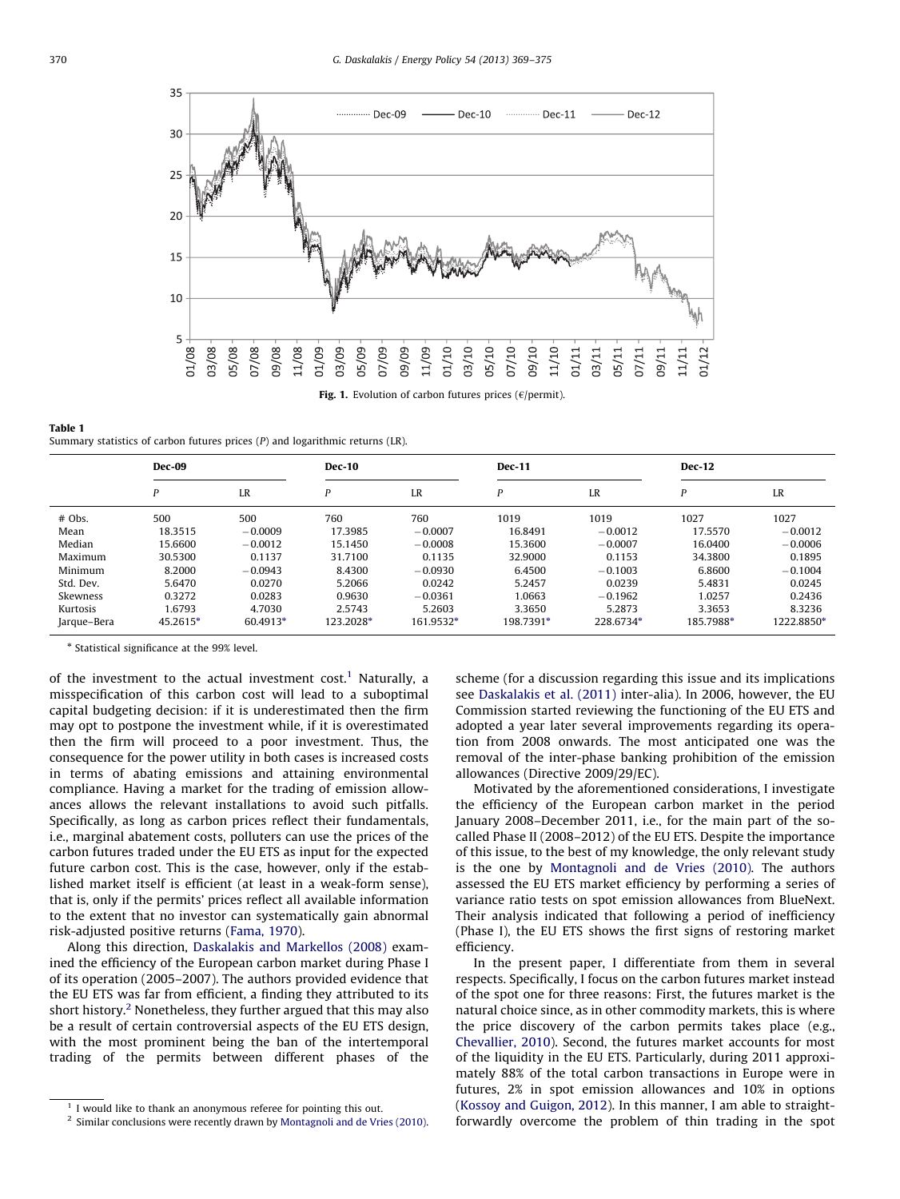

Table 1 Summary statistics of carbon futures prices (P) and logarithmic returns (LR).

|             | <b>Dec-09</b> |           | <b>Dec-10</b> |           | <b>Dec-11</b> |           | <b>Dec-12</b> |            |
|-------------|---------------|-----------|---------------|-----------|---------------|-----------|---------------|------------|
|             | P             | LR        | P             | LR        | P             | LR        | P             | LR         |
| $#$ Obs.    | 500           | 500       | 760           | 760       | 1019          | 1019      | 1027          | 1027       |
| Mean        | 18.3515       | $-0.0009$ | 17.3985       | $-0.0007$ | 16.8491       | $-0.0012$ | 17.5570       | $-0.0012$  |
| Median      | 15.6600       | $-0.0012$ | 15.1450       | $-0.0008$ | 15.3600       | $-0.0007$ | 16.0400       | $-0.0006$  |
| Maximum     | 30.5300       | 0.1137    | 31.7100       | 0.1135    | 32.9000       | 0.1153    | 34.3800       | 0.1895     |
| Minimum     | 8.2000        | $-0.0943$ | 8.4300        | $-0.0930$ | 6.4500        | $-0.1003$ | 6.8600        | $-0.1004$  |
| Std. Dev.   | 5.6470        | 0.0270    | 5.2066        | 0.0242    | 5.2457        | 0.0239    | 5.4831        | 0.0245     |
| Skewness    | 0.3272        | 0.0283    | 0.9630        | $-0.0361$ | 1.0663        | $-0.1962$ | 1.0257        | 0.2436     |
| Kurtosis    | 1.6793        | 4.7030    | 2.5743        | 5.2603    | 3.3650        | 5.2873    | 3.3653        | 8.3236     |
| Jarque-Bera | 45.2615*      | 60.4913*  | 123.2028*     | 161.9532* | 198.7391*     | 228.6734* | 185.7988*     | 1222.8850* |

\* Statistical significance at the 99% level.

of the investment to the actual investment cost.<sup>1</sup> Naturally, a misspecification of this carbon cost will lead to a suboptimal capital budgeting decision: if it is underestimated then the firm may opt to postpone the investment while, if it is overestimated then the firm will proceed to a poor investment. Thus, the consequence for the power utility in both cases is increased costs in terms of abating emissions and attaining environmental compliance. Having a market for the trading of emission allowances allows the relevant installations to avoid such pitfalls. Specifically, as long as carbon prices reflect their fundamentals, i.e., marginal abatement costs, polluters can use the prices of the carbon futures traded under the EU ETS as input for the expected future carbon cost. This is the case, however, only if the established market itself is efficient (at least in a weak-form sense), that is, only if the permits' prices reflect all available information to the extent that no investor can systematically gain abnormal risk-adjusted positive returns [\(Fama, 1970\)](#page--1-0).

Along this direction, [Daskalakis and Markellos \(2008\)](#page--1-0) examined the efficiency of the European carbon market during Phase I of its operation (2005–2007). The authors provided evidence that the EU ETS was far from efficient, a finding they attributed to its short history.<sup>2</sup> Nonetheless, they further argued that this may also be a result of certain controversial aspects of the EU ETS design, with the most prominent being the ban of the intertemporal trading of the permits between different phases of the

scheme (for a discussion regarding this issue and its implications see [Daskalakis et al. \(2011\)](#page--1-0) inter-alia). In 2006, however, the EU Commission started reviewing the functioning of the EU ETS and adopted a year later several improvements regarding its operation from 2008 onwards. The most anticipated one was the removal of the inter-phase banking prohibition of the emission allowances (Directive 2009/29/EC).

Motivated by the aforementioned considerations, I investigate the efficiency of the European carbon market in the period January 2008–December 2011, i.e., for the main part of the socalled Phase II (2008–2012) of the EU ETS. Despite the importance of this issue, to the best of my knowledge, the only relevant study is the one by [Montagnoli and de Vries \(2010\)](#page--1-0). The authors assessed the EU ETS market efficiency by performing a series of variance ratio tests on spot emission allowances from BlueNext. Their analysis indicated that following a period of inefficiency (Phase I), the EU ETS shows the first signs of restoring market efficiency.

In the present paper, I differentiate from them in several respects. Specifically, I focus on the carbon futures market instead of the spot one for three reasons: First, the futures market is the natural choice since, as in other commodity markets, this is where the price discovery of the carbon permits takes place (e.g., [Chevallier, 2010](#page--1-0)). Second, the futures market accounts for most of the liquidity in the EU ETS. Particularly, during 2011 approximately 88% of the total carbon transactions in Europe were in futures, 2% in spot emission allowances and 10% in options ([Kossoy and Guigon, 2012](#page--1-0)). In this manner, I am able to straightforwardly overcome the problem of thin trading in the spot

<sup>1</sup> I would like to thank an anonymous referee for pointing this out.

<sup>2</sup> Similar conclusions were recently drawn by [Montagnoli and de Vries \(2010\)](#page--1-0).